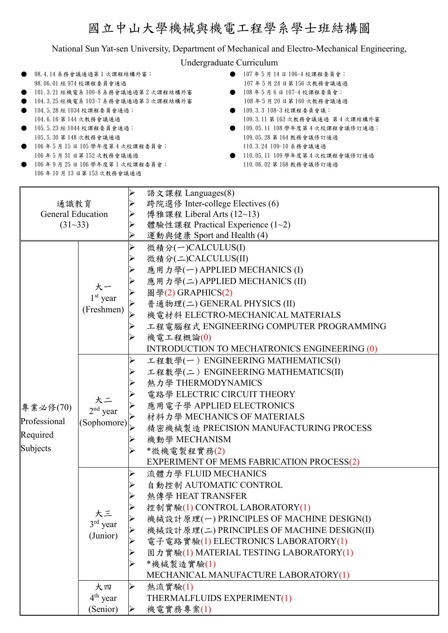## 國立中山大學機械與機電工程學系學士班結構圖

National Sun Yat-sen University, Department of Mechanical and Electro-Mechanical Engineering,

Undergraduate Curriculum

- 98.4.14 系務會議通過第1次課程結構外審; 98.06.01 經 974 校課程委員會通過
- 101.3.21 經機電系 100-8 系務會議通過第 2 次課程結構外審
- 104.3.25 經機電系 103-7 系務會議通過第 3 次課程結構外審
- 104.5.28 經 1034 校課程委員會通過; 104.6.16 第 144 次教務會議通過
- 105.5.23 經 1044 校課程委員會通過; 105.5.30 第 148 次教務會議通過
- 106 年 5 月 15 日 105 學年度第 4 次校課程委員會;
- 106 年 5 月 31 日第 152 次教務會議通過
- 106 年 9 月 25 日 106 學年度第 1 次校課程委員會; 106 年 10 月 13 日第 153 次教務會議通過
- 107 年 5 月 14 日 106-4 校課程委員會; 107 年 5 月 24 日第 156 次教務會議通過
- 108 年 5 月 6 日 107-4 校課程委員會; 108 年 5 月 20 日第 160 次教務會議通過
- 109.3.3 108-3 校課程委員會議; 109.3.11 第 163 次教務會議通過 第 4 次課結構外審
- 109.05.11 108 學年度第 4 次校課程會議修訂通過; 109.05.28 第 164 教務會議修訂通過 110.3.24 109-10 系務會議通過
- 110.05.11 109 學年度第 4 次校課程會議修訂通過 110.06.02 第 168 教務會議修訂通過

| 通識教育<br><b>General Education</b><br>$(31 - 33)$ |                                |   | 語文課程 Languages(8)                            |  |  |  |  |
|-------------------------------------------------|--------------------------------|---|----------------------------------------------|--|--|--|--|
|                                                 |                                |   | 跨院選修 Inter-college Electives (6)             |  |  |  |  |
|                                                 |                                |   | 博雅課程 Liberal Arts (12~13)                    |  |  |  |  |
|                                                 |                                |   | 體驗性課程 Practical Experience (1~2)             |  |  |  |  |
|                                                 |                                |   | 運動與健康 Sport and Health (4)                   |  |  |  |  |
|                                                 |                                |   | 微積分(一)CALCULUS(I)                            |  |  |  |  |
|                                                 | 大一<br>$1st$ year<br>(Freshmen) |   | 微積分(二)CALCULUS(II)                           |  |  |  |  |
|                                                 |                                |   | 應用力學(一) APPLIED MECHANICS (I)                |  |  |  |  |
|                                                 |                                |   | 應用力學(二) APPLIED MECHANICS (II)               |  |  |  |  |
|                                                 |                                |   | 圖學(2) GRAPHICS(2)                            |  |  |  |  |
|                                                 |                                |   | 普通物理(二) GENERAL PHYSICS (II)                 |  |  |  |  |
|                                                 |                                |   | 機電材料 ELECTRO-MECHANICAL MATERIALS            |  |  |  |  |
|                                                 |                                |   | 工程電腦程式 ENGINEERING COMPUTER PROGRAMMING      |  |  |  |  |
|                                                 |                                |   | 機電工程概論(0)                                    |  |  |  |  |
|                                                 |                                |   | INTRODUCTION TO MECHATRONICS ENGINEERING (0) |  |  |  |  |
|                                                 |                                |   | 工程數學(一) ENGINEERING MATHEMATICS(I)           |  |  |  |  |
|                                                 |                                |   | 工程數學(二) ENGINEERING MATHEMATICS(II)          |  |  |  |  |
|                                                 |                                |   | 熱力學 THERMODYNAMICS                           |  |  |  |  |
|                                                 | 大二                             |   | 電路學 ELECTRIC CIRCUIT THEORY                  |  |  |  |  |
| 專業必修(70)                                        |                                |   | 應用電子學 APPLIED ELECTRONICS                    |  |  |  |  |
| Professional                                    | $2nd$ year                     |   | 材料力學 MECHANICS OF MATERIALS                  |  |  |  |  |
|                                                 | (Sophomore)                    |   | 精密機械製造 PRECISION MANUFACTURING PROCESS       |  |  |  |  |
| Required                                        |                                |   | 機動學 MECHANISM                                |  |  |  |  |
| Subjects                                        |                                |   | *微機電製程實務(2)                                  |  |  |  |  |
|                                                 |                                |   | EXPERIMENT OF MEMS FABRICATION PROCESS(2)    |  |  |  |  |
|                                                 |                                |   | 流體力學 FLUID MECHANICS                         |  |  |  |  |
|                                                 |                                |   | 自動控制 AUTOMATIC CONTROL                       |  |  |  |  |
|                                                 |                                |   | 熱傳學 HEAT TRANSFER                            |  |  |  |  |
|                                                 |                                |   | 控制實驗(1) CONTROL LABORATORY(1)                |  |  |  |  |
|                                                 | 大三                             |   | 機械設計原理(一) PRINCIPLES OF MACHINE DESIGN(I)    |  |  |  |  |
|                                                 | $3^{\text{rd}}$ year           |   | 機械設計原理(二) PRINCIPLES OF MACHINE DESIGN(II)   |  |  |  |  |
|                                                 | (Junior)                       |   | 電子電路實驗(1) ELECTRONICS LABORATORY(1)          |  |  |  |  |
|                                                 |                                |   | 固力實驗(1) MATERIAL TESTING LABORATORY(1)       |  |  |  |  |
|                                                 |                                |   | *機械製造實驗(1)                                   |  |  |  |  |
|                                                 |                                |   | MECHANICAL MANUFACTURE LABORATORY(1)         |  |  |  |  |
|                                                 | 大四                             | ➤ | 熱流實驗(1)                                      |  |  |  |  |
|                                                 | $4th$ year                     |   | THERMALFLUIDS EXPERIMENT(1)                  |  |  |  |  |
|                                                 | (Senior)                       | ➤ | 機電實務專案(1)                                    |  |  |  |  |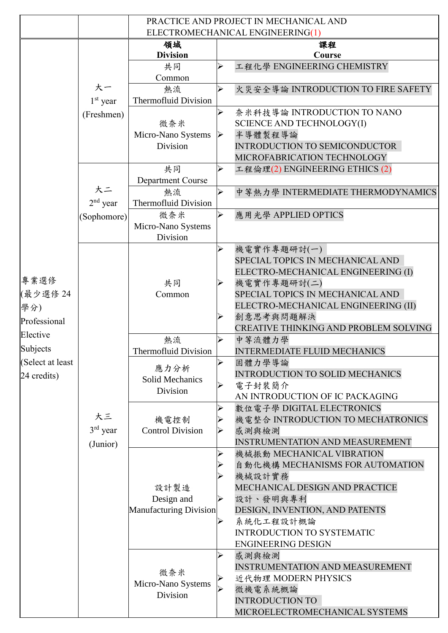|                 |                              | PRACTICE AND PROJECT IN MECHANICAL AND       |                       |                                                                         |  |  |
|-----------------|------------------------------|----------------------------------------------|-----------------------|-------------------------------------------------------------------------|--|--|
|                 |                              |                                              |                       | ELECTROMECHANICAL ENGINEERING(1)                                        |  |  |
|                 |                              | 領域<br><b>Division</b>                        |                       | 課程<br>Course                                                            |  |  |
|                 |                              | 共同                                           | $\blacktriangleright$ | 工程化學 ENGINEERING CHEMISTRY                                              |  |  |
|                 |                              | Common                                       |                       |                                                                         |  |  |
|                 | 大一                           | 熱流                                           | $\blacktriangleright$ | 火災安全導論 INTRODUCTION TO FIRE SAFETY                                      |  |  |
|                 | $1st$ year                   | <b>Thermofluid Division</b>                  |                       |                                                                         |  |  |
|                 | (Freshmen)                   |                                              | ➤                     | 奈米科技導論 INTRODUCTION TO NANO                                             |  |  |
|                 |                              | 微奈米                                          |                       | SCIENCE AND TECHNOLOGY(I)                                               |  |  |
|                 |                              | Micro-Nano Systems                           | $\triangleright$      | 半導體製程導論                                                                 |  |  |
|                 |                              | Division                                     |                       | INTRODUCTION TO SEMICONDUCTOR<br>MICROFABRICATION TECHNOLOGY            |  |  |
|                 |                              | 共同                                           | $\blacktriangleright$ | 工程倫理(2) ENGINEERING ETHICS (2)                                          |  |  |
|                 | 大二                           | <b>Department Course</b>                     |                       |                                                                         |  |  |
|                 |                              | 熱流                                           | $\blacktriangleright$ | 中等熱力學 INTERMEDIATE THERMODYNAMICS                                       |  |  |
|                 | $2nd$ year                   | <b>Thermofluid Division</b>                  |                       |                                                                         |  |  |
|                 | (Sophomore)                  | 微奈米                                          | $\blacktriangleright$ | 應用光學 APPLIED OPTICS                                                     |  |  |
|                 |                              | Micro-Nano Systems                           |                       |                                                                         |  |  |
|                 |                              | Division                                     |                       |                                                                         |  |  |
|                 |                              | 共同<br>Common                                 |                       | 機電實作專題研討(一)                                                             |  |  |
|                 |                              |                                              |                       | SPECIAL TOPICS IN MECHANICAL AND                                        |  |  |
| 專業選修            |                              |                                              |                       | ELECTRO-MECHANICAL ENGINEERING (I)                                      |  |  |
|                 |                              |                                              |                       | 機電實作專題研討(二)                                                             |  |  |
| (最少選修 24        |                              |                                              |                       | SPECIAL TOPICS IN MECHANICAL AND<br>ELECTRO-MECHANICAL ENGINEERING (II) |  |  |
| 學分)             |                              |                                              |                       | 創意思考與問題解決                                                               |  |  |
| Professional    |                              |                                              |                       | CREATIVE THINKING AND PROBLEM SOLVING                                   |  |  |
| Elective        |                              | 熱流                                           | ➤                     | 中等流體力學                                                                  |  |  |
| Subjects        |                              | <b>Thermofluid Division</b>                  |                       | <b>INTERMEDIATE FLUID MECHANICS</b>                                     |  |  |
| Select at least |                              | 應力分析<br>Solid Mechanics<br>Division          |                       | 固體力學導論                                                                  |  |  |
| 24 credits)     | 大三<br>$3rd$ year<br>(Junior) |                                              |                       | <b>INTRODUCTION TO SOLID MECHANICS</b>                                  |  |  |
|                 |                              |                                              |                       | 電子封裝簡介                                                                  |  |  |
|                 |                              | 機電控制<br><b>Control Division</b>              |                       | AN INTRODUCTION OF IC PACKAGING<br>數位電子學 DIGITAL ELECTRONICS            |  |  |
|                 |                              |                                              |                       | 機電整合 INTRODUCTION TO MECHATRONICS                                       |  |  |
|                 |                              |                                              |                       | 感測與檢測                                                                   |  |  |
|                 |                              |                                              |                       | <b>INSTRUMENTATION AND MEASUREMENT</b>                                  |  |  |
|                 |                              |                                              |                       | 機械振動 MECHANICAL VIBRATION                                               |  |  |
|                 |                              |                                              |                       | 自動化機構 MECHANISMS FOR AUTOMATION                                         |  |  |
|                 |                              |                                              |                       | 機械設計實務                                                                  |  |  |
|                 |                              | 設計製造<br>Design and<br>Manufacturing Division |                       | MECHANICAL DESIGN AND PRACTICE                                          |  |  |
|                 |                              |                                              |                       | 設計、發明與專利                                                                |  |  |
|                 |                              |                                              |                       | DESIGN, INVENTION, AND PATENTS<br>系統化工程設計概論                             |  |  |
|                 |                              |                                              |                       | <b>INTRODUCTION TO SYSTEMATIC</b>                                       |  |  |
|                 |                              |                                              |                       | <b>ENGINEERING DESIGN</b>                                               |  |  |
|                 |                              | 微奈米<br>Micro-Nano Systems<br>Division        |                       | 感測與檢測                                                                   |  |  |
|                 |                              |                                              |                       | <b>INSTRUMENTATION AND MEASUREMENT</b>                                  |  |  |
|                 |                              |                                              |                       | 近代物理 MODERN PHYSICS                                                     |  |  |
|                 |                              |                                              |                       | 微機電系統概論                                                                 |  |  |
|                 |                              |                                              |                       | <b>INTRODUCTION TO</b>                                                  |  |  |
|                 |                              |                                              |                       | MICROELECTROMECHANICAL SYSTEMS                                          |  |  |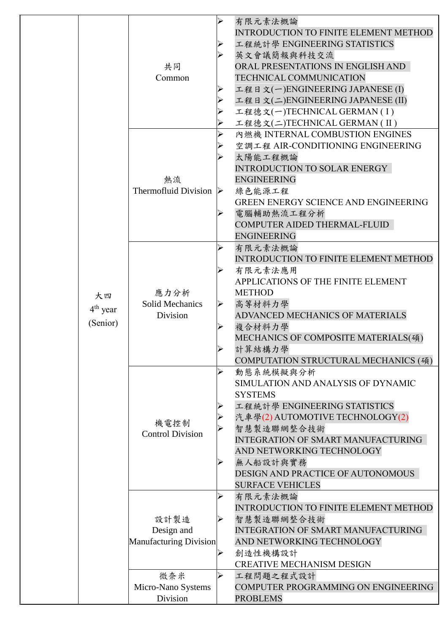|                              |                                                            | ➤                               |                                                                                                                                                                                                                                                                                                             |
|------------------------------|------------------------------------------------------------|---------------------------------|-------------------------------------------------------------------------------------------------------------------------------------------------------------------------------------------------------------------------------------------------------------------------------------------------------------|
| 大四<br>$4th$ year<br>(Senior) | 共同<br>Common                                               | ➢<br>⋗                          | 有限元素法概論<br><b>INTRODUCTION TO FINITE ELEMENT METHOD</b><br>工程統計學 ENGINEERING STATISTICS<br>英文會議簡報與科技交流<br>ORAL PRESENTATIONS IN ENGLISH AND<br>TECHNICAL COMMUNICATION<br>工程日文(一)ENGINEERING JAPANESE (I)<br>工程日文(二)ENGINEERING JAPANESE (II)<br>工程德文(一)TECHNICAL GERMAN(I)<br>工程德文(二)TECHNICAL GERMAN (II) |
|                              | 熱流<br><b>Thermofluid Division</b>                          | D                               | 內燃機 INTERNAL COMBUSTION ENGINES<br>空調工程 AIR-CONDITIONING ENGINEERING<br>太陽能工程概論<br><b>INTRODUCTION TO SOLAR ENERGY</b><br><b>ENGINEERING</b><br>綠色能源工程<br><b>GREEN ENERGY SCIENCE AND ENGINEERING</b><br>電腦輔助熱流工程分析<br>COMPUTER AIDED THERMAL-FLUID<br><b>ENGINEERING</b>                                   |
|                              | 應力分析<br><b>Solid Mechanics</b><br>Division                 | ➤<br>➤                          | 有限元素法概論<br><b>INTRODUCTION TO FINITE ELEMENT METHOD</b><br>有限元素法應用<br>APPLICATIONS OF THE FINITE ELEMENT<br><b>METHOD</b><br>高等材料力學<br>ADVANCED MECHANICS OF MATERIALS<br>複合材料力學<br>MECHANICS OF COMPOSITE MATERIALS(碩)<br>計算結構力學<br>COMPUTATION STRUCTURAL MECHANICS (碩)                                   |
|                              | 機電控制<br><b>Control Division</b>                            | ⋗                               | 動態系統模擬與分析<br>SIMULATION AND ANALYSIS OF DYNAMIC<br><b>SYSTEMS</b><br>工程統計學 ENGINEERING STATISTICS<br>汽車學(2) AUTOMOTIVE TECHNOLOGY(2)<br>智慧製造聯網整合技術<br><b>INTEGRATION OF SMART MANUFACTURING</b><br>AND NETWORKING TECHNOLOGY<br>無人船設計與實務<br>DESIGN AND PRACTICE OF AUTONOMOUS<br><b>SURFACE VEHICLES</b>    |
|                              | 設計製造<br>Design and<br><b>Manufacturing Division</b><br>微奈米 | ➢<br>⋗<br>$\blacktriangleright$ | 有限元素法概論<br><b>INTRODUCTION TO FINITE ELEMENT METHOD</b><br>智慧製造聯網整合技術<br><b>INTEGRATION OF SMART MANUFACTURING</b><br>AND NETWORKING TECHNOLOGY<br>創造性機構設計<br><b>CREATIVE MECHANISM DESIGN</b><br>工程問題之程式設計                                                                                                 |
|                              | Micro-Nano Systems<br>Division                             |                                 | COMPUTER PROGRAMMING ON ENGINEERING<br><b>PROBLEMS</b>                                                                                                                                                                                                                                                      |